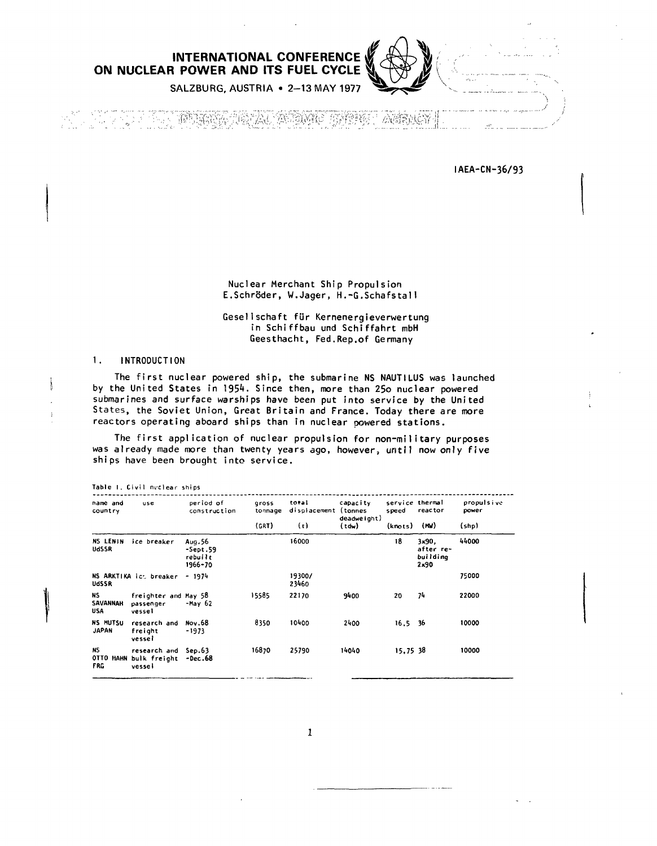ON NUCLEAR POWER AND ITS FUEL CYCLE



SALZBURG, AUSTRIA . 2-13 MAY 1977

10030 ia viječ **RANGERS** 公務部長

IAEA-CN-36/93

Nuclear Merchant Ship Propulsion E.Schröder, W.Jager, H.-G.Schafstall

Gesellschaft für Kernenergieverwertung in Schiffbau und Schiffahrt mbH Geesthacht, Fed, Rep.of Germany

#### $\mathbf{1}$ . **INTRODUCTION**

The first nuclear powered ship, the submarine NS NAUTILUS was launched by the United States in 1954. Since then, more than 250 nuclear powered submarines and surface warships have been put into service by the United States, the Soviet Union, Great Britain and France. Today there are more reactors operating aboard ships than in nuclear powered stations.

The first application of nuclear propulsion for non-military purposes was already made more than twenty years ago, however, until now only five ships have been brought into service.

| Table 1, Civil nuclear ships    |                                                                 |                           |                           |                                      |                                  |                                     |                 |                              |
|---------------------------------|-----------------------------------------------------------------|---------------------------|---------------------------|--------------------------------------|----------------------------------|-------------------------------------|-----------------|------------------------------|
| name and<br>country             | use                                                             | period of<br>construction | gross<br>tonnage<br>(GRT) | toral<br>displacement (tonnes<br>(t) | capacity<br>deadweight)<br>(tdw) | service thermal<br>speed<br>(knots) | reactor<br>(m/) | propulsive<br>power<br>(shp) |
|                                 |                                                                 |                           |                           |                                      |                                  |                                     |                 |                              |
| UdSSR                           | NS ARKTIKA ic: breaker - 1974                                   |                           |                           | 19300/<br>23460                      |                                  |                                     |                 | 75000                        |
| NS.<br>SAVANNAH<br>USA          | freighter and May 58<br>passenger<br>vessel                     | -May 62                   | 15585                     | 22170                                | 9400                             | 20                                  | 74              | 22000                        |
| <b>NS MUTSU</b><br><b>JAPAN</b> | research and<br>freight<br>vessei                               | Nov.68<br>-1973           | 8350                      | 10400                                | 2400                             | $16,5$ 36                           |                 | 10000                        |
| NS.<br><b>FRG</b>               | research and Sep.63<br>OTTO HAHN bulk freight -Dec.68<br>vessel |                           | 16870                     | 25790                                | 14040                            | 15.75 38                            |                 | 10000                        |

 $\mathbf{1}$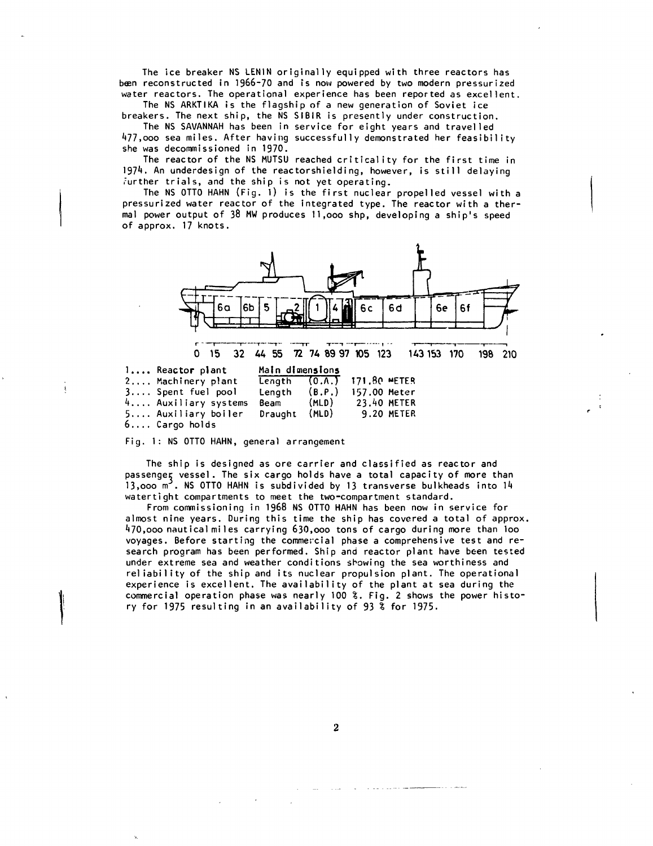**The ice breaker NS LENIN originally equipped with three reactors has reconstructed in 1966-70 and is now powered by two modern pressurized water reactors. The operational experience has been reported as excellent.**

**The NS ARKTIKA is the flagship of a new generation of Soviet ice breakers. The next ship, the NS SIBIR is presently under construction.**

**The NS SAVANNAH has been in service for eight years and travelled 477,000 sea miles. After having successfully demonstrated her feasibility she was decommissioned in 1970.**

**The reactor of the NS MUTSU reached criticality for the first time in** 1974. An underdesign of the reactorshielding, however, is still delaying **rurther trials, and the ship is not yet operating.**

**The NS OTTO HAHN (Fig. l) is the first nuclear propelled vessel with a pressurized water reactor of the integrated type. The reactor with a ther mal power output of 38 MW produces 11,000 shp, developing a ship's speed of approx. 17 knots.**



**Fig. 1: NS OTTO HAHN, general arrangement**

**The ship is designed as ore carrier and classified as reactor and passenger vessel. The six cargo holds have a total capacity of more than 13,ooo m . NS OTTO HAHN is subdivided by 13 transverse bulkheads into lA watertight compartments to meet the two-compartment standard.**

**From commissioning in 1968 NS OTTO HAHN has been now in service for almost nine years. During this time the ship has covered a total of approx. ^70,ooo nautical miles carrying 630,000 tons of cargo during more than loo voyages. Before starting the commercial phase a comprehensive test and re search program has been performed. Ship and reactor plant have been tested under extreme sea and weather conditions showing the sea worthiness and reliability of the ship and its nuclear propulsion plant. The operational experience is excellent. The availability of the plant at sea during the commercial operation phase was nearly 100** *%.* **Fig. 2 shows the power histo ry for 1975 resulting in an availability of 93** *%* **for 1975.**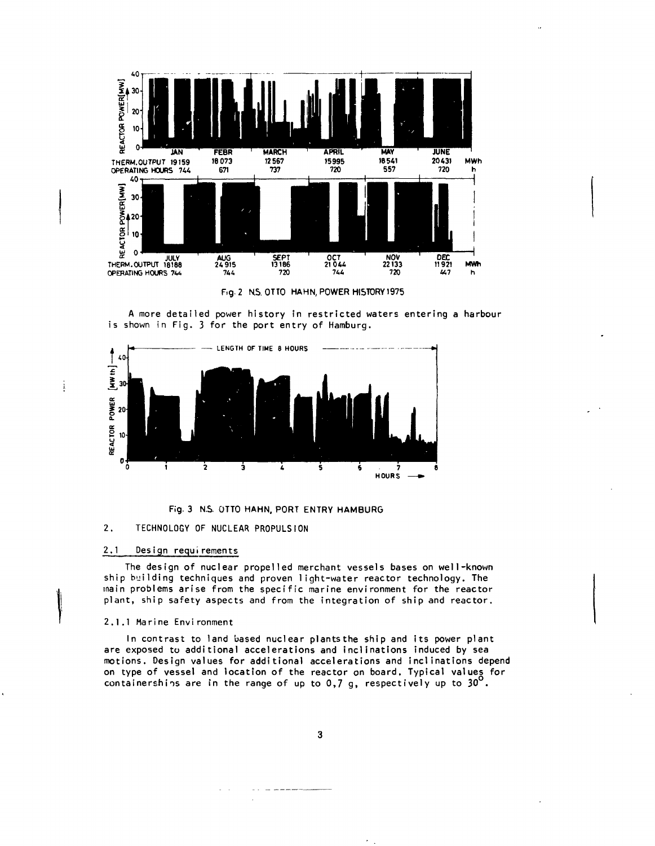

Fig. 2 N.S. OTTO HAHN, POWER HISTORY 1975

A more detailed power history in restricted waters entering a harbour is shown in Fig. 3 for the port entry of Hamburg.



**Fig. 3 N.S. OTTO HAHN, PORT ENTRY HAMBURG** 

#### **2. TECHNOLOGY OF NUCLEAR PROPULSION**

# **2.1 Design requirements**

 $\ddot{i}$ 

**The design of nuclear propelled merchant vessels bases on well-known ship building techniques and proven light-water reactor technology. The main problems arise from the specific marine environment for the reactor plant, ship safety aspects and from the integration of ship and reactor.**

## **2.1.1 Marine Environment**

**In contrast to land based nuclear plantsthe ship and its power plant are exposed to additional accelerations and inclinations induced by sea motions. Design values for additional accelerations and inclinations depend on type of vessel and location of the reactor on board. Typical values for** containerships are in the range of up to  $0,7$  g, respectively up to  $30^{\circ}.$ 

 $\overline{\mathbf{3}}$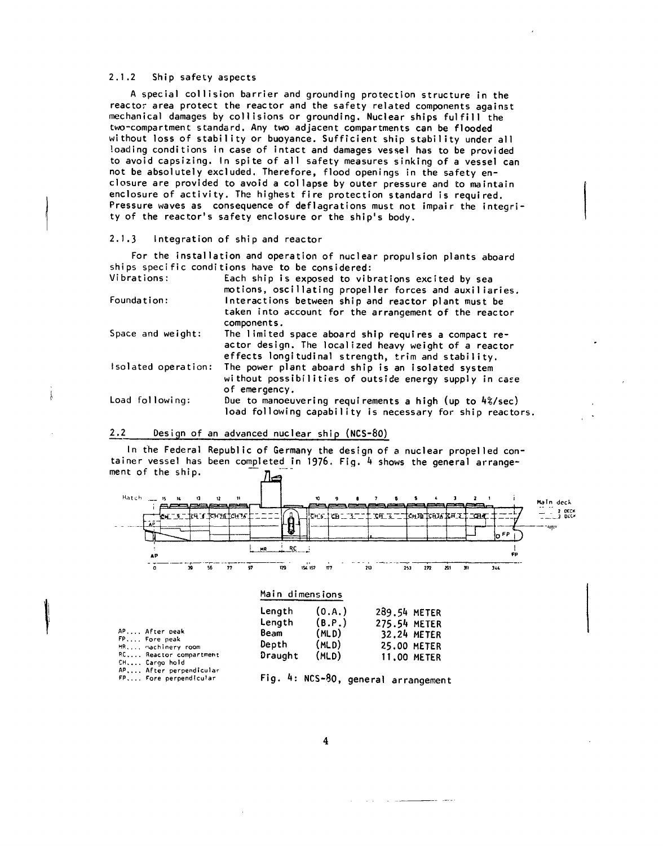# **2.1.2 Ship safety aspects**

**A special collision barrier and grounding protection structure in the reactor area protect the reactor and the safety related components against mechanical damages by collisions or grounding. Nuclear ships fulfill the two-compartment standard. Any two adjacent compartments can be flooded without loss of stability or buoyance. Sufficient ship stability under all loading conditions in case of intact and damages vessel has to be provided to avoid capsizing. In spite of all safety measures sinking of a vessel can not be absolutely excluded. Therefore, flood openings in the safety en closure are provided to avoid a collapse by outer pressure and to maintain enclosure of activity. The highest fire protection standard is required. Pressure waves as consequence of deflagrations must not impair the integri ty of the reactor's safety enclosure or the ship's body.**

### **2.1.3 Integration of ship and reactor**

**For the installation and operation of nuclear propulsion plants aboard ships specific conditions have to be considered: Each ship is exposed to vibrations excited by sea**

| Vibrations:         | Each ship is exposed to vibrations excited by sea<br>motions, oscillating propeller forces and auxiliaries.                                                         |
|---------------------|---------------------------------------------------------------------------------------------------------------------------------------------------------------------|
| Foundation:         | Interactions between ship and reactor plant must be<br>taken into account for the arrangement of the reactor<br>components.                                         |
| Space and weight:   | The limited space aboard ship requires a compact re-<br>actor design. The localized heavy weight of a reactor<br>effects longitudinal strength, trim and stability. |
| Isolated operation: | The power plant aboard ship is an isolated system<br>without possibilities of outside energy supply in case<br>of emergency,                                        |
| Load following:     | Due to manoeuvering requirements a high (up to 4%/sec)<br>load following capability is necessary for ship reactors.                                                 |

# **2.2 Design of an advanced nuclear ship (NCS-80)**

**In the Federal Republic of Germany the design of a nuclear propelled con tainer vessel has been completed in 1976. Fig.** *k* **shows the general arrange** ment of the ship.



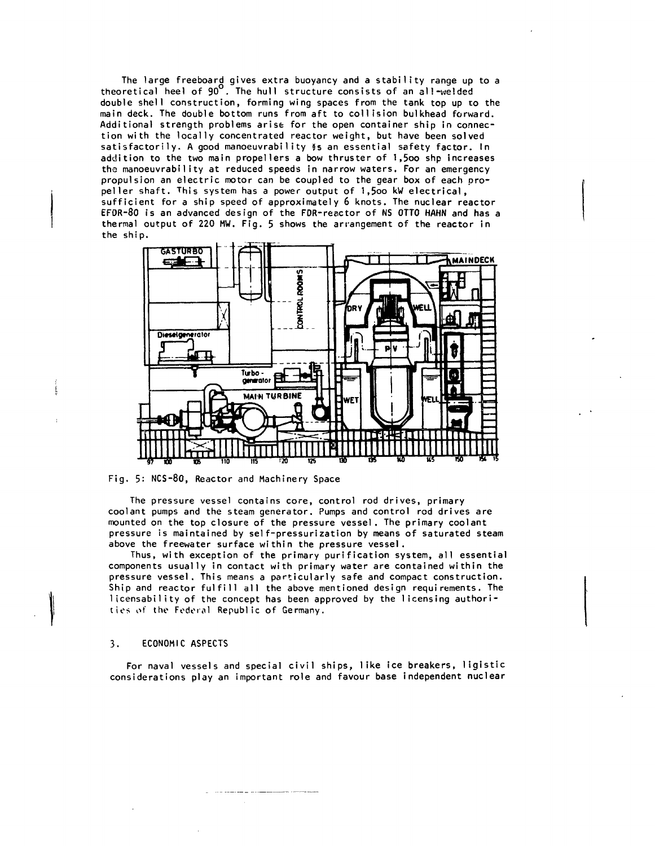**The large freeboard gives extra buoyancy and a stability range up to a theoretical heel of 90 . The hull structure consists of an 3!1-welded double shell construction, forming wing spaces from the tank top up to the main deck. The double bottom runs from aft to collision bulkhead forward. Additional strength problems arise for the open container ship in connec tion with the locally concentrated reactor weight, but have been solved satisfactorily. A good manoeuvrability 8s an essential safety factor. In addition to the two main propellers a bow thruster of 1,5oo shp increases the manoeuvrability at reduced speeds in narrow waters. For an emergency propulsion an electric motor can be coupled to the gear box of each pro peller shaft. This system has a power output of l,5oo kW electrical, sufficient for a ship speed of approximately 6 knots. The nuclear reactor EFOR-80 is an advanced design of the FDR-reactor of NS OTTO HAHN and has a thermal output of 220 MW. Fig. 5 shows the arrangement of the reactor in the ship.**



**Fig. 5: NCS-80, Reactor and Machinery Space**

**The pressure vessel contains core, control rod drives, primary coolant pumps and the steam generator. Pumps and control rod drives are mounted on the top closure of the pressure vessel. The primary coolant pressure is maintained by self-pressurization by means of saturated steam above the freewater surface within the pressure vessel.**

**Thus, with exception of the primary purification system, all essential components usually in contact with primary water are contained within the pressure vessel. This means a particularly safe and compact construction. Ship and reactor fulfill all the above mentioned design requirements. The 1icensabi1ity of the concept has been approved by the licensing authori ties** *o(* **the Federal Republic of Germany.**

### **3. ECONOMIC ASPECTS**

**For naval vessels and special civil ships, like ice breakers, ligistic considerations play an important role and favour base independent nuclear**